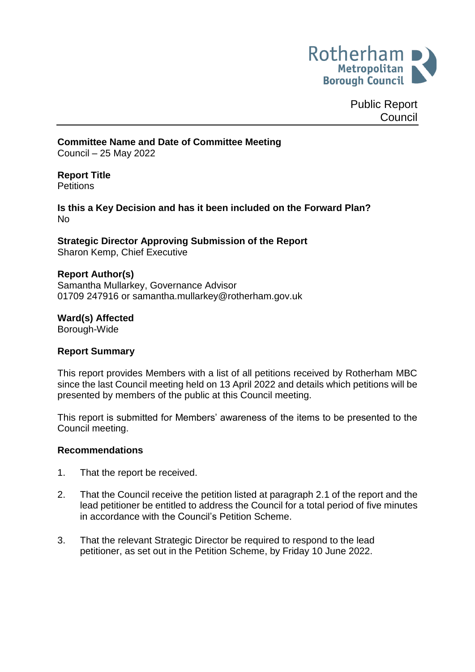

Public Report **Council** 

#### **Committee Name and Date of Committee Meeting**

Council – 25 May 2022

#### **Report Title**

**Petitions** 

#### **Is this a Key Decision and has it been included on the Forward Plan?** No

**Strategic Director Approving Submission of the Report** Sharon Kemp, Chief Executive

#### **Report Author(s)**

Samantha Mullarkey, Governance Advisor 01709 247916 or samantha.mullarkey@rotherham.gov.uk

**Ward(s) Affected** Borough-Wide

#### **Report Summary**

This report provides Members with a list of all petitions received by Rotherham MBC since the last Council meeting held on 13 April 2022 and details which petitions will be presented by members of the public at this Council meeting.

This report is submitted for Members' awareness of the items to be presented to the Council meeting.

#### **Recommendations**

- 1. That the report be received.
- 2. That the Council receive the petition listed at paragraph 2.1 of the report and the lead petitioner be entitled to address the Council for a total period of five minutes in accordance with the Council's Petition Scheme.
- 3. That the relevant Strategic Director be required to respond to the lead petitioner, as set out in the Petition Scheme, by Friday 10 June 2022.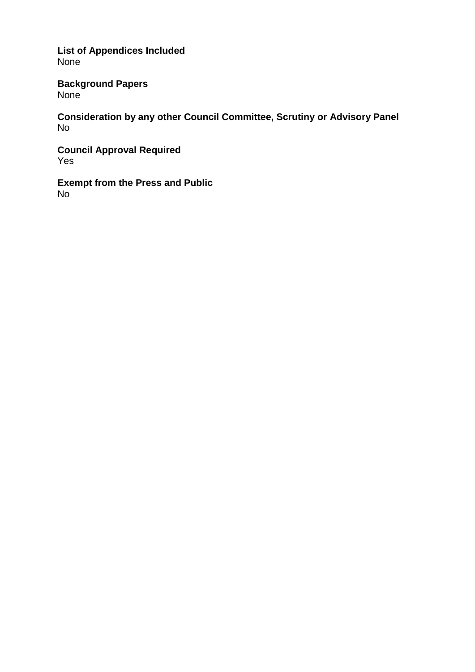**List of Appendices Included** None

**Background Papers** None

**Consideration by any other Council Committee, Scrutiny or Advisory Panel** No

**Council Approval Required** Yes

**Exempt from the Press and Public** No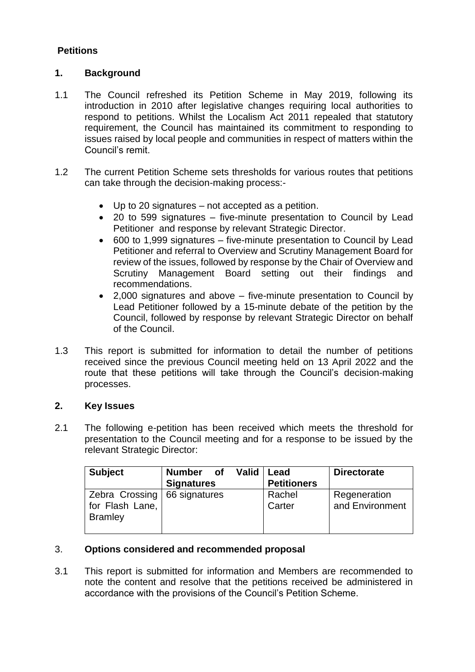# **Petitions**

#### **1. Background**

- 1.1 The Council refreshed its Petition Scheme in May 2019, following its introduction in 2010 after legislative changes requiring local authorities to respond to petitions. Whilst the Localism Act 2011 repealed that statutory requirement, the Council has maintained its commitment to responding to issues raised by local people and communities in respect of matters within the Council's remit.
- 1.2 The current Petition Scheme sets thresholds for various routes that petitions can take through the decision-making process:-
	- Up to 20 signatures not accepted as a petition.
	- 20 to 599 signatures five-minute presentation to Council by Lead Petitioner and response by relevant Strategic Director.
	- 600 to 1,999 signatures five-minute presentation to Council by Lead Petitioner and referral to Overview and Scrutiny Management Board for review of the issues, followed by response by the Chair of Overview and Scrutiny Management Board setting out their findings and recommendations.
	- 2,000 signatures and above five-minute presentation to Council by Lead Petitioner followed by a 15-minute debate of the petition by the Council, followed by response by relevant Strategic Director on behalf of the Council.
- 1.3 This report is submitted for information to detail the number of petitions received since the previous Council meeting held on 13 April 2022 and the route that these petitions will take through the Council's decision-making processes.

#### **2. Key Issues**

2.1 The following e-petition has been received which meets the threshold for presentation to the Council meeting and for a response to be issued by the relevant Strategic Director:

| <b>Subject</b>                                      | <b>Number</b><br><b>of</b><br><b>Signatures</b> | Valid | Lead<br><b>Petitioners</b> | <b>Directorate</b>              |
|-----------------------------------------------------|-------------------------------------------------|-------|----------------------------|---------------------------------|
| Zebra Crossing<br>for Flash Lane,<br><b>Bramley</b> | 66 signatures                                   |       | Rachel<br>Carter           | Regeneration<br>and Environment |

#### 3. **Options considered and recommended proposal**

3.1 This report is submitted for information and Members are recommended to note the content and resolve that the petitions received be administered in accordance with the provisions of the Council's Petition Scheme.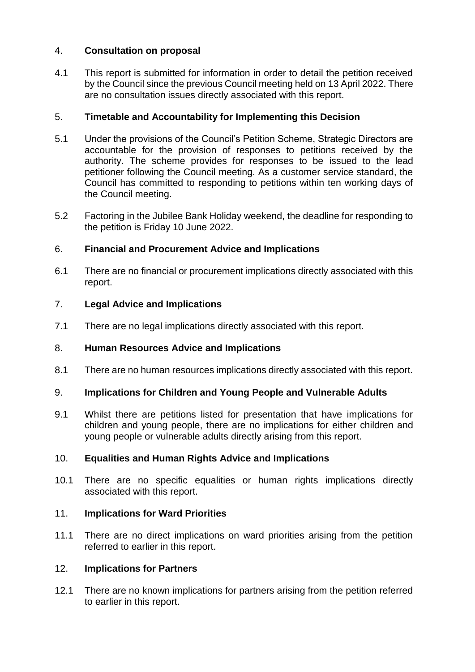# 4. **Consultation on proposal**

4.1 This report is submitted for information in order to detail the petition received by the Council since the previous Council meeting held on 13 April 2022. There are no consultation issues directly associated with this report.

# 5. **Timetable and Accountability for Implementing this Decision**

- 5.1 Under the provisions of the Council's Petition Scheme, Strategic Directors are accountable for the provision of responses to petitions received by the authority. The scheme provides for responses to be issued to the lead petitioner following the Council meeting. As a customer service standard, the Council has committed to responding to petitions within ten working days of the Council meeting.
- 5.2 Factoring in the Jubilee Bank Holiday weekend, the deadline for responding to the petition is Friday 10 June 2022.

# 6. **Financial and Procurement Advice and Implications**

6.1 There are no financial or procurement implications directly associated with this report.

# 7. **Legal Advice and Implications**

7.1 There are no legal implications directly associated with this report.

# 8. **Human Resources Advice and Implications**

8.1 There are no human resources implications directly associated with this report.

# 9. **Implications for Children and Young People and Vulnerable Adults**

9.1 Whilst there are petitions listed for presentation that have implications for children and young people, there are no implications for either children and young people or vulnerable adults directly arising from this report.

# 10. **Equalities and Human Rights Advice and Implications**

10.1 There are no specific equalities or human rights implications directly associated with this report.

# 11. **Implications for Ward Priorities**

11.1 There are no direct implications on ward priorities arising from the petition referred to earlier in this report.

# 12. **Implications for Partners**

12.1 There are no known implications for partners arising from the petition referred to earlier in this report.